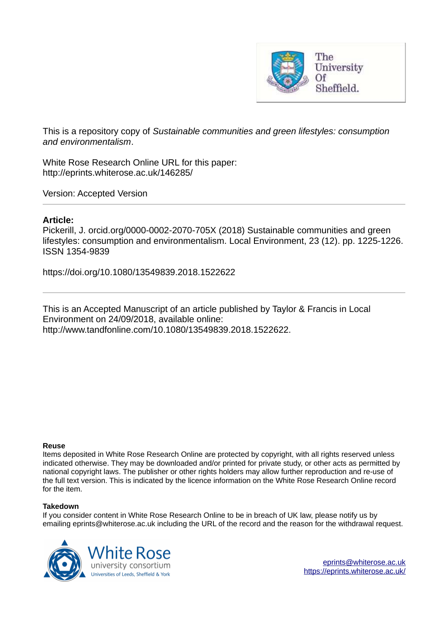

This is a repository copy of *Sustainable communities and green lifestyles: consumption and environmentalism*.

White Rose Research Online URL for this paper: http://eprints.whiterose.ac.uk/146285/

Version: Accepted Version

## **Article:**

Pickerill, J. orcid.org/0000-0002-2070-705X (2018) Sustainable communities and green lifestyles: consumption and environmentalism. Local Environment, 23 (12). pp. 1225-1226. ISSN 1354-9839

https://doi.org/10.1080/13549839.2018.1522622

This is an Accepted Manuscript of an article published by Taylor & Francis in Local Environment on 24/09/2018, available online: http://www.tandfonline.com/10.1080/13549839.2018.1522622.

### **Reuse**

Items deposited in White Rose Research Online are protected by copyright, with all rights reserved unless indicated otherwise. They may be downloaded and/or printed for private study, or other acts as permitted by national copyright laws. The publisher or other rights holders may allow further reproduction and re-use of the full text version. This is indicated by the licence information on the White Rose Research Online record for the item.

### **Takedown**

If you consider content in White Rose Research Online to be in breach of UK law, please notify us by emailing eprints@whiterose.ac.uk including the URL of the record and the reason for the withdrawal request.



[eprints@whiterose.ac.uk](mailto:eprints@whiterose.ac.uk) <https://eprints.whiterose.ac.uk/>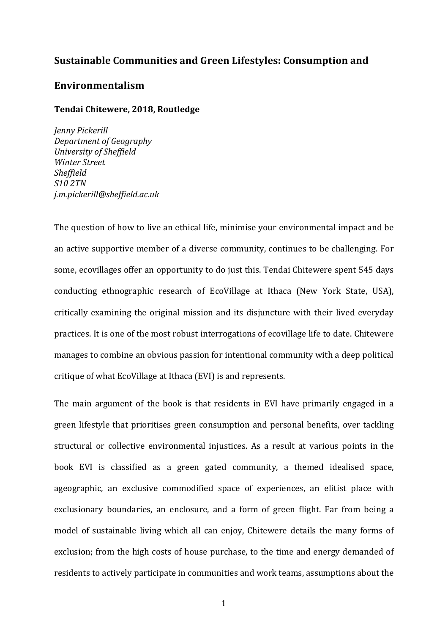# **Sustainable Communities and Green Lifestyles: Consumption and**

## **Environmentalism**

### **Tendai Chitewere, 2018, Routledge**

*Jenny Pickerill Department of Geography University of Sheffield Winter Street Sheffield S10 2TN j.m.pickerill@sheffield.ac.uk*

The question of how to live an ethical life, minimise your environmental impact and be an active supportive member of a diverse community, continues to be challenging. For some, ecovillages offer an opportunity to do just this. Tendai Chitewere spent 545 days conducting ethnographic research of EcoVillage at Ithaca (New York State, USA), critically examining the original mission and its disjuncture with their lived everyday practices. It is one of the most robust interrogations of ecovillage life to date. Chitewere manages to combine an obvious passion for intentional community with a deep political critique of what EcoVillage at Ithaca (EVI) is and represents.

The main argument of the book is that residents in EVI have primarily engaged in a green lifestyle that prioritises green consumption and personal benefits, over tackling structural or collective environmental injustices. As a result at various points in the book EVI is classified as a green gated community, a themed idealised space, ageographic, an exclusive commodified space of experiences, an elitist place with exclusionary boundaries, an enclosure, and a form of green flight. Far from being a model of sustainable living which all can enjoy, Chitewere details the many forms of exclusion; from the high costs of house purchase, to the time and energy demanded of residents to actively participate in communities and work teams, assumptions about the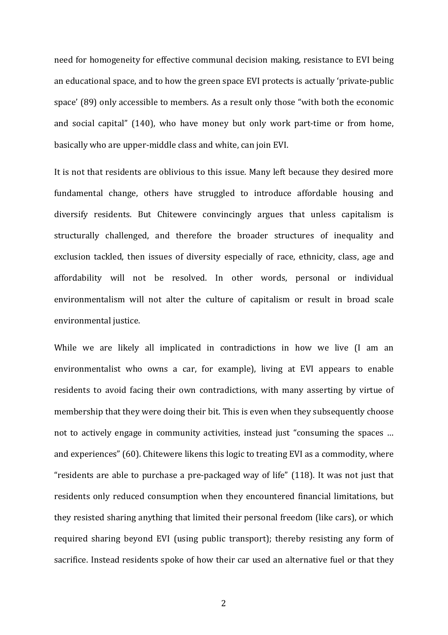need for homogeneity for effective communal decision making, resistance to EVI being an educational space, and to how the green space EVI protects is actually 'private-public space' (89) only accessible to members. As a result only those "with both the economic and social capital" (140), who have money but only work part-time or from home, basically who are upper-middle class and white, can join EVI.

It is not that residents are oblivious to this issue. Many left because they desired more fundamental change, others have struggled to introduce affordable housing and diversify residents. But Chitewere convincingly argues that unless capitalism is structurally challenged, and therefore the broader structures of inequality and exclusion tackled, then issues of diversity especially of race, ethnicity, class, age and affordability will not be resolved. In other words, personal or individual environmentalism will not alter the culture of capitalism or result in broad scale environmental justice.

While we are likely all implicated in contradictions in how we live (I am an environmentalist who owns a car, for example), living at EVI appears to enable residents to avoid facing their own contradictions, with many asserting by virtue of membership that they were doing their bit. This is even when they subsequently choose not to actively engage in community activities, instead just "consuming the spaces ... and experiences" (60). Chitewere likens this logic to treating EVI as a commodity, where "residents are able to purchase a pre-packaged way of life"  $(118)$ . It was not just that residents only reduced consumption when they encountered financial limitations, but they resisted sharing anything that limited their personal freedom (like cars), or which required sharing beyond EVI (using public transport); thereby resisting any form of sacrifice. Instead residents spoke of how their car used an alternative fuel or that they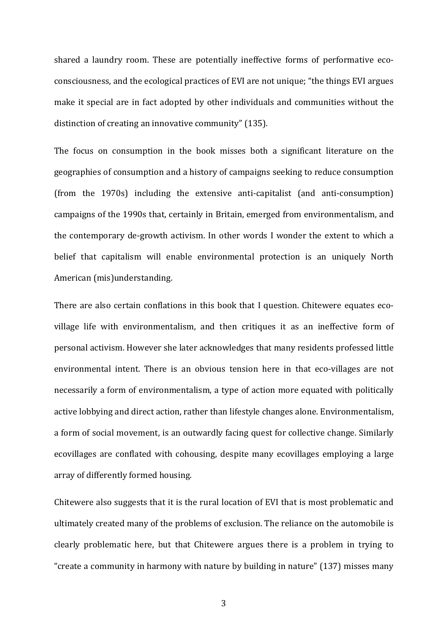shared a laundry room. These are potentially ineffective forms of performative ecoconsciousness, and the ecological practices of EVI are not unique; "the things EVI argues make it special are in fact adopted by other individuals and communities without the distinction of creating an innovative community" (135).

The focus on consumption in the book misses both a significant literature on the geographies of consumption and a history of campaigns seeking to reduce consumption (from the 1970s) including the extensive anti-capitalist (and anti-consumption) campaigns of the 1990s that, certainly in Britain, emerged from environmentalism, and the contemporary de-growth activism. In other words I wonder the extent to which a belief that capitalism will enable environmental protection is an uniquely North American (mis)understanding.

There are also certain conflations in this book that I question. Chitewere equates ecovillage life with environmentalism, and then critiques it as an ineffective form of personal activism. However she later acknowledges that many residents professed little environmental intent. There is an obvious tension here in that eco-villages are not necessarily a form of environmentalism, a type of action more equated with politically active lobbying and direct action, rather than lifestyle changes alone. Environmentalism, a form of social movement, is an outwardly facing quest for collective change. Similarly ecovillages are conflated with cohousing, despite many ecovillages employing a large array of differently formed housing.

Chitewere also suggests that it is the rural location of EVI that is most problematic and ultimately created many of the problems of exclusion. The reliance on the automobile is clearly problematic here, but that Chitewere argues there is a problem in trying to "create a community in harmony with nature by building in nature"  $(137)$  misses many